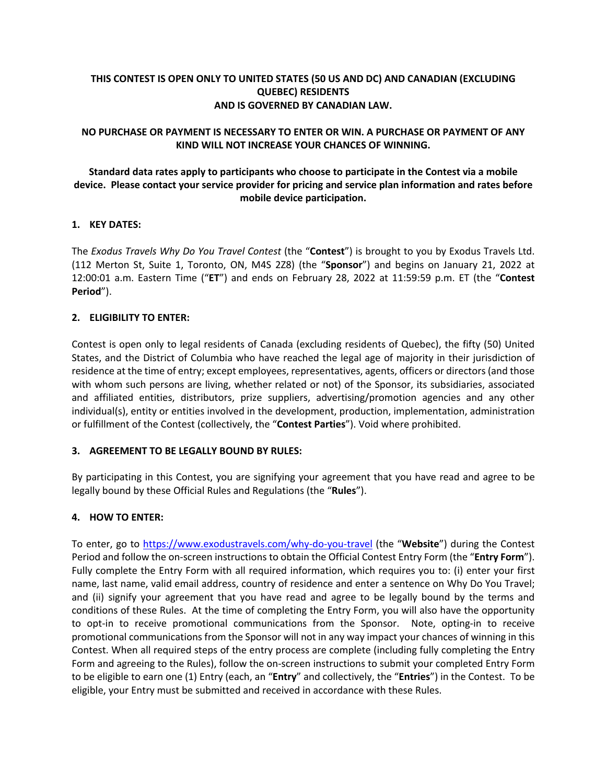# **THIS CONTEST IS OPEN ONLY TO UNITED STATES (50 US AND DC) AND CANADIAN (EXCLUDING QUEBEC) RESIDENTS AND IS GOVERNED BY CANADIAN LAW.**

### **NO PURCHASE OR PAYMENT IS NECESSARY TO ENTER OR WIN. A PURCHASE OR PAYMENT OF ANY KIND WILL NOT INCREASE YOUR CHANCES OF WINNING.**

# **Standard data rates apply to participants who choose to participate in the Contest via a mobile device. Please contact your service provider for pricing and service plan information and rates before mobile device participation.**

### **1. KEY DATES:**

The *Exodus Travels Why Do You Travel Contest* (the "**Contest**") is brought to you by Exodus Travels Ltd. (112 Merton St, Suite 1, Toronto, ON, M4S 2Z8) (the "**Sponsor**") and begins on January 21, 2022 at 12:00:01 a.m. Eastern Time ("**ET**") and ends on February 28, 2022 at 11:59:59 p.m. ET (the "**Contest Period**").

# **2. ELIGIBILITY TO ENTER:**

Contest is open only to legal residents of Canada (excluding residents of Quebec), the fifty (50) United States, and the District of Columbia who have reached the legal age of majority in their jurisdiction of residence at the time of entry; except employees, representatives, agents, officers or directors (and those with whom such persons are living, whether related or not) of the Sponsor, its subsidiaries, associated and affiliated entities, distributors, prize suppliers, advertising/promotion agencies and any other individual(s), entity or entities involved in the development, production, implementation, administration or fulfillment of the Contest (collectively, the "**Contest Parties**"). Void where prohibited.

### **3. AGREEMENT TO BE LEGALLY BOUND BY RULES:**

By participating in this Contest, you are signifying your agreement that you have read and agree to be legally bound by these Official Rules and Regulations (the "**Rules**").

# **4. HOW TO ENTER:**

To enter, go to https://www.exodustravels.com/why-do-you-travel (the "**Website**") during the Contest Period and follow the on-screen instructions to obtain the Official Contest Entry Form (the "**Entry Form**"). Fully complete the Entry Form with all required information, which requires you to: (i) enter your first name, last name, valid email address, country of residence and enter a sentence on Why Do You Travel; and (ii) signify your agreement that you have read and agree to be legally bound by the terms and conditions of these Rules. At the time of completing the Entry Form, you will also have the opportunity to opt-in to receive promotional communications from the Sponsor. Note, opting-in to receive promotional communications from the Sponsor will not in any way impact your chances of winning in this Contest. When all required steps of the entry process are complete (including fully completing the Entry Form and agreeing to the Rules), follow the on-screen instructions to submit your completed Entry Form to be eligible to earn one (1) Entry (each, an "**Entry**" and collectively, the "**Entries**") in the Contest. To be eligible, your Entry must be submitted and received in accordance with these Rules.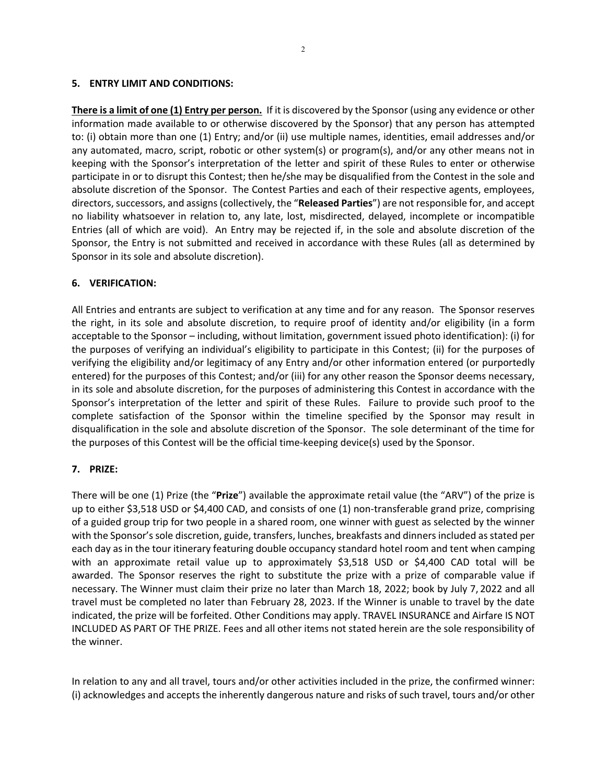#### **5. ENTRY LIMIT AND CONDITIONS:**

**There is a limit of one (1) Entry per person.** If it is discovered by the Sponsor (using any evidence or other information made available to or otherwise discovered by the Sponsor) that any person has attempted to: (i) obtain more than one (1) Entry; and/or (ii) use multiple names, identities, email addresses and/or any automated, macro, script, robotic or other system(s) or program(s), and/or any other means not in keeping with the Sponsor's interpretation of the letter and spirit of these Rules to enter or otherwise participate in or to disrupt this Contest; then he/she may be disqualified from the Contest in the sole and absolute discretion of the Sponsor. The Contest Parties and each of their respective agents, employees, directors, successors, and assigns (collectively, the "**Released Parties**") are not responsible for, and accept no liability whatsoever in relation to, any late, lost, misdirected, delayed, incomplete or incompatible Entries (all of which are void). An Entry may be rejected if, in the sole and absolute discretion of the Sponsor, the Entry is not submitted and received in accordance with these Rules (all as determined by Sponsor in its sole and absolute discretion).

#### **6. VERIFICATION:**

All Entries and entrants are subject to verification at any time and for any reason. The Sponsor reserves the right, in its sole and absolute discretion, to require proof of identity and/or eligibility (in a form acceptable to the Sponsor – including, without limitation, government issued photo identification): (i) for the purposes of verifying an individual's eligibility to participate in this Contest; (ii) for the purposes of verifying the eligibility and/or legitimacy of any Entry and/or other information entered (or purportedly entered) for the purposes of this Contest; and/or (iii) for any other reason the Sponsor deems necessary, in its sole and absolute discretion, for the purposes of administering this Contest in accordance with the Sponsor's interpretation of the letter and spirit of these Rules. Failure to provide such proof to the complete satisfaction of the Sponsor within the timeline specified by the Sponsor may result in disqualification in the sole and absolute discretion of the Sponsor. The sole determinant of the time for the purposes of this Contest will be the official time-keeping device(s) used by the Sponsor.

#### **7. PRIZE:**

There will be one (1) Prize (the "**Prize**") available the approximate retail value (the "ARV") of the prize is up to either \$3,518 USD or \$4,400 CAD, and consists of one (1) non-transferable grand prize, comprising of a guided group trip for two people in a shared room, one winner with guest as selected by the winner with the Sponsor's sole discretion, guide, transfers, lunches, breakfasts and dinners included as stated per each day as in the tour itinerary featuring double occupancy standard hotel room and tent when camping with an approximate retail value up to approximately \$3,518 USD or \$4,400 CAD total will be awarded. The Sponsor reserves the right to substitute the prize with a prize of comparable value if necessary. The Winner must claim their prize no later than March 18, 2022; book by July 7, 2022 and all travel must be completed no later than February 28, 2023. If the Winner is unable to travel by the date indicated, the prize will be forfeited. Other Conditions may apply. TRAVEL INSURANCE and Airfare IS NOT INCLUDED AS PART OF THE PRIZE. Fees and all other items not stated herein are the sole responsibility of the winner.

In relation to any and all travel, tours and/or other activities included in the prize, the confirmed winner: (i) acknowledges and accepts the inherently dangerous nature and risks of such travel, tours and/or other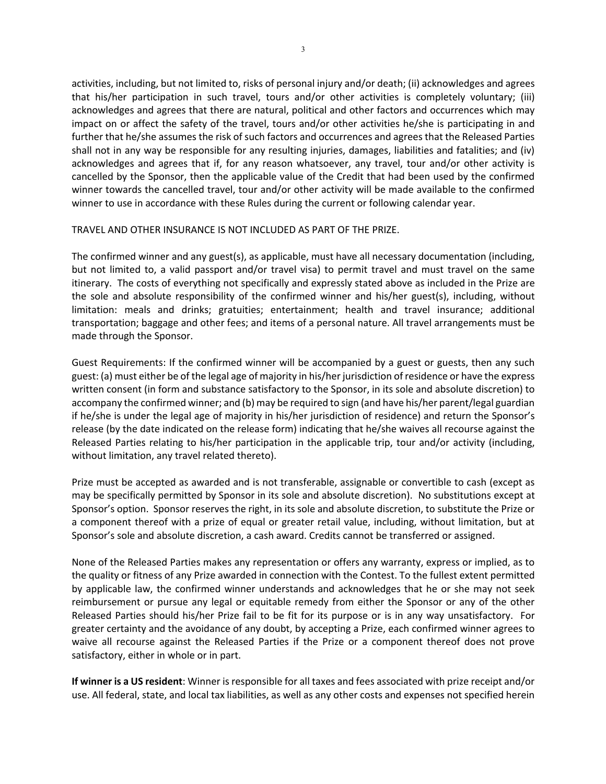activities, including, but not limited to, risks of personal injury and/or death; (ii) acknowledges and agrees that his/her participation in such travel, tours and/or other activities is completely voluntary; (iii) acknowledges and agrees that there are natural, political and other factors and occurrences which may impact on or affect the safety of the travel, tours and/or other activities he/she is participating in and further that he/she assumes the risk of such factors and occurrences and agrees that the Released Parties shall not in any way be responsible for any resulting injuries, damages, liabilities and fatalities; and (iv) acknowledges and agrees that if, for any reason whatsoever, any travel, tour and/or other activity is cancelled by the Sponsor, then the applicable value of the Credit that had been used by the confirmed winner towards the cancelled travel, tour and/or other activity will be made available to the confirmed winner to use in accordance with these Rules during the current or following calendar year.

#### TRAVEL AND OTHER INSURANCE IS NOT INCLUDED AS PART OF THE PRIZE.

The confirmed winner and any guest(s), as applicable, must have all necessary documentation (including, but not limited to, a valid passport and/or travel visa) to permit travel and must travel on the same itinerary. The costs of everything not specifically and expressly stated above as included in the Prize are the sole and absolute responsibility of the confirmed winner and his/her guest(s), including, without limitation: meals and drinks; gratuities; entertainment; health and travel insurance; additional transportation; baggage and other fees; and items of a personal nature. All travel arrangements must be made through the Sponsor.

Guest Requirements: If the confirmed winner will be accompanied by a guest or guests, then any such guest: (a) must either be of the legal age of majority in his/her jurisdiction of residence or have the express written consent (in form and substance satisfactory to the Sponsor, in its sole and absolute discretion) to accompany the confirmed winner; and (b) may be required to sign (and have his/her parent/legal guardian if he/she is under the legal age of majority in his/her jurisdiction of residence) and return the Sponsor's release (by the date indicated on the release form) indicating that he/she waives all recourse against the Released Parties relating to his/her participation in the applicable trip, tour and/or activity (including, without limitation, any travel related thereto).

Prize must be accepted as awarded and is not transferable, assignable or convertible to cash (except as may be specifically permitted by Sponsor in its sole and absolute discretion). No substitutions except at Sponsor's option. Sponsor reserves the right, in its sole and absolute discretion, to substitute the Prize or a component thereof with a prize of equal or greater retail value, including, without limitation, but at Sponsor's sole and absolute discretion, a cash award. Credits cannot be transferred or assigned.

None of the Released Parties makes any representation or offers any warranty, express or implied, as to the quality or fitness of any Prize awarded in connection with the Contest. To the fullest extent permitted by applicable law, the confirmed winner understands and acknowledges that he or she may not seek reimbursement or pursue any legal or equitable remedy from either the Sponsor or any of the other Released Parties should his/her Prize fail to be fit for its purpose or is in any way unsatisfactory. For greater certainty and the avoidance of any doubt, by accepting a Prize, each confirmed winner agrees to waive all recourse against the Released Parties if the Prize or a component thereof does not prove satisfactory, either in whole or in part.

**If winner is a US resident**: Winner is responsible for all taxes and fees associated with prize receipt and/or use. All federal, state, and local tax liabilities, as well as any other costs and expenses not specified herein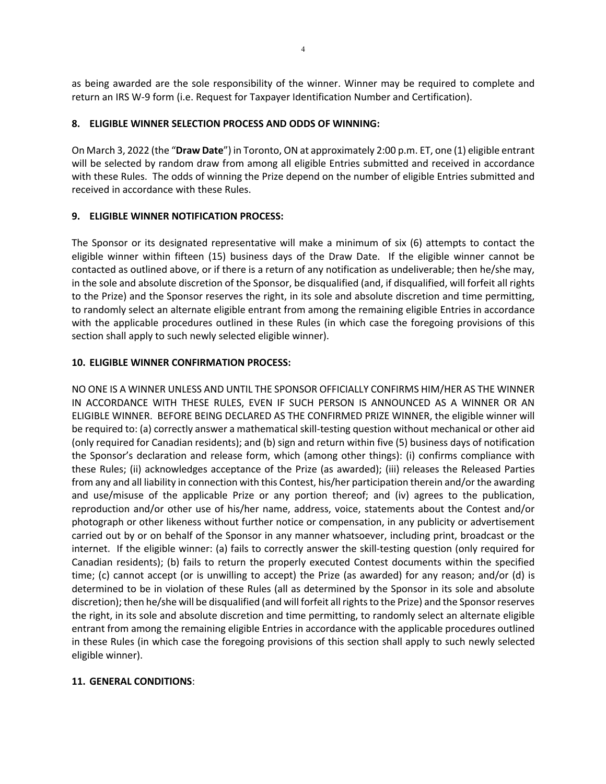as being awarded are the sole responsibility of the winner. Winner may be required to complete and return an IRS W-9 form (i.e. Request for Taxpayer Identification Number and Certification).

### **8. ELIGIBLE WINNER SELECTION PROCESS AND ODDS OF WINNING:**

On March 3, 2022 (the "**Draw Date**") in Toronto, ON at approximately 2:00 p.m. ET, one (1) eligible entrant will be selected by random draw from among all eligible Entries submitted and received in accordance with these Rules. The odds of winning the Prize depend on the number of eligible Entries submitted and received in accordance with these Rules.

# **9. ELIGIBLE WINNER NOTIFICATION PROCESS:**

The Sponsor or its designated representative will make a minimum of six (6) attempts to contact the eligible winner within fifteen (15) business days of the Draw Date. If the eligible winner cannot be contacted as outlined above, or if there is a return of any notification as undeliverable; then he/she may, in the sole and absolute discretion of the Sponsor, be disqualified (and, if disqualified, will forfeit all rights to the Prize) and the Sponsor reserves the right, in its sole and absolute discretion and time permitting, to randomly select an alternate eligible entrant from among the remaining eligible Entries in accordance with the applicable procedures outlined in these Rules (in which case the foregoing provisions of this section shall apply to such newly selected eligible winner).

# **10. ELIGIBLE WINNER CONFIRMATION PROCESS:**

NO ONE IS A WINNER UNLESS AND UNTIL THE SPONSOR OFFICIALLY CONFIRMS HIM/HER AS THE WINNER IN ACCORDANCE WITH THESE RULES, EVEN IF SUCH PERSON IS ANNOUNCED AS A WINNER OR AN ELIGIBLE WINNER. BEFORE BEING DECLARED AS THE CONFIRMED PRIZE WINNER, the eligible winner will be required to: (a) correctly answer a mathematical skill-testing question without mechanical or other aid (only required for Canadian residents); and (b) sign and return within five (5) business days of notification the Sponsor's declaration and release form, which (among other things): (i) confirms compliance with these Rules; (ii) acknowledges acceptance of the Prize (as awarded); (iii) releases the Released Parties from any and all liability in connection with this Contest, his/her participation therein and/or the awarding and use/misuse of the applicable Prize or any portion thereof; and (iv) agrees to the publication, reproduction and/or other use of his/her name, address, voice, statements about the Contest and/or photograph or other likeness without further notice or compensation, in any publicity or advertisement carried out by or on behalf of the Sponsor in any manner whatsoever, including print, broadcast or the internet. If the eligible winner: (a) fails to correctly answer the skill-testing question (only required for Canadian residents); (b) fails to return the properly executed Contest documents within the specified time; (c) cannot accept (or is unwilling to accept) the Prize (as awarded) for any reason; and/or (d) is determined to be in violation of these Rules (all as determined by the Sponsor in its sole and absolute discretion); then he/she will be disqualified (and will forfeit all rights to the Prize) and the Sponsor reserves the right, in its sole and absolute discretion and time permitting, to randomly select an alternate eligible entrant from among the remaining eligible Entries in accordance with the applicable procedures outlined in these Rules (in which case the foregoing provisions of this section shall apply to such newly selected eligible winner).

# **11. GENERAL CONDITIONS**: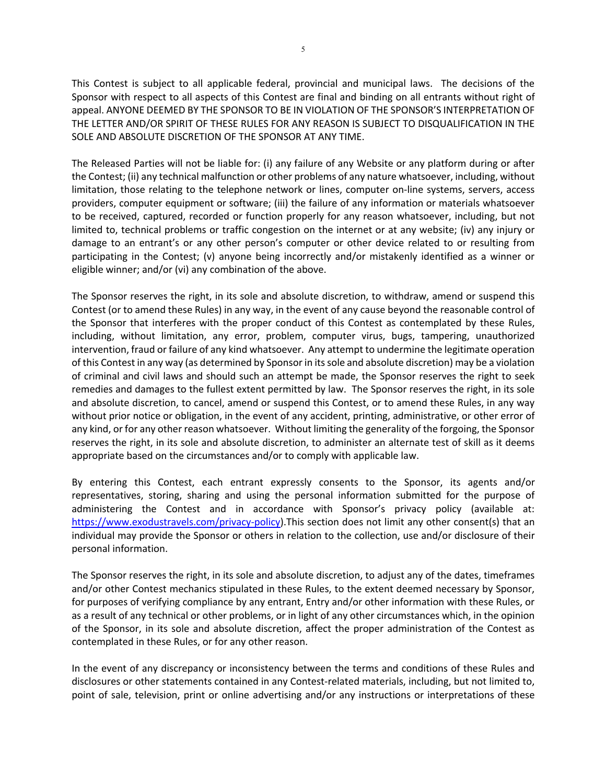This Contest is subject to all applicable federal, provincial and municipal laws. The decisions of the Sponsor with respect to all aspects of this Contest are final and binding on all entrants without right of appeal. ANYONE DEEMED BY THE SPONSOR TO BE IN VIOLATION OF THE SPONSOR'S INTERPRETATION OF THE LETTER AND/OR SPIRIT OF THESE RULES FOR ANY REASON IS SUBJECT TO DISQUALIFICATION IN THE SOLE AND ABSOLUTE DISCRETION OF THE SPONSOR AT ANY TIME.

The Released Parties will not be liable for: (i) any failure of any Website or any platform during or after the Contest; (ii) any technical malfunction or other problems of any nature whatsoever, including, without limitation, those relating to the telephone network or lines, computer on-line systems, servers, access providers, computer equipment or software; (iii) the failure of any information or materials whatsoever to be received, captured, recorded or function properly for any reason whatsoever, including, but not limited to, technical problems or traffic congestion on the internet or at any website; (iv) any injury or damage to an entrant's or any other person's computer or other device related to or resulting from participating in the Contest; (v) anyone being incorrectly and/or mistakenly identified as a winner or eligible winner; and/or (vi) any combination of the above.

The Sponsor reserves the right, in its sole and absolute discretion, to withdraw, amend or suspend this Contest (or to amend these Rules) in any way, in the event of any cause beyond the reasonable control of the Sponsor that interferes with the proper conduct of this Contest as contemplated by these Rules, including, without limitation, any error, problem, computer virus, bugs, tampering, unauthorized intervention, fraud or failure of any kind whatsoever. Any attempt to undermine the legitimate operation of this Contest in any way (as determined by Sponsor in its sole and absolute discretion) may be a violation of criminal and civil laws and should such an attempt be made, the Sponsor reserves the right to seek remedies and damages to the fullest extent permitted by law. The Sponsor reserves the right, in its sole and absolute discretion, to cancel, amend or suspend this Contest, or to amend these Rules, in any way without prior notice or obligation, in the event of any accident, printing, administrative, or other error of any kind, or for any other reason whatsoever. Without limiting the generality of the forgoing, the Sponsor reserves the right, in its sole and absolute discretion, to administer an alternate test of skill as it deems appropriate based on the circumstances and/or to comply with applicable law.

By entering this Contest, each entrant expressly consents to the Sponsor, its agents and/or representatives, storing, sharing and using the personal information submitted for the purpose of administering the Contest and in accordance with Sponsor's privacy policy (available at: https://www.exodustravels.com/privacy-policy).This section does not limit any other consent(s) that an individual may provide the Sponsor or others in relation to the collection, use and/or disclosure of their personal information.

The Sponsor reserves the right, in its sole and absolute discretion, to adjust any of the dates, timeframes and/or other Contest mechanics stipulated in these Rules, to the extent deemed necessary by Sponsor, for purposes of verifying compliance by any entrant, Entry and/or other information with these Rules, or as a result of any technical or other problems, or in light of any other circumstances which, in the opinion of the Sponsor, in its sole and absolute discretion, affect the proper administration of the Contest as contemplated in these Rules, or for any other reason.

In the event of any discrepancy or inconsistency between the terms and conditions of these Rules and disclosures or other statements contained in any Contest-related materials, including, but not limited to, point of sale, television, print or online advertising and/or any instructions or interpretations of these